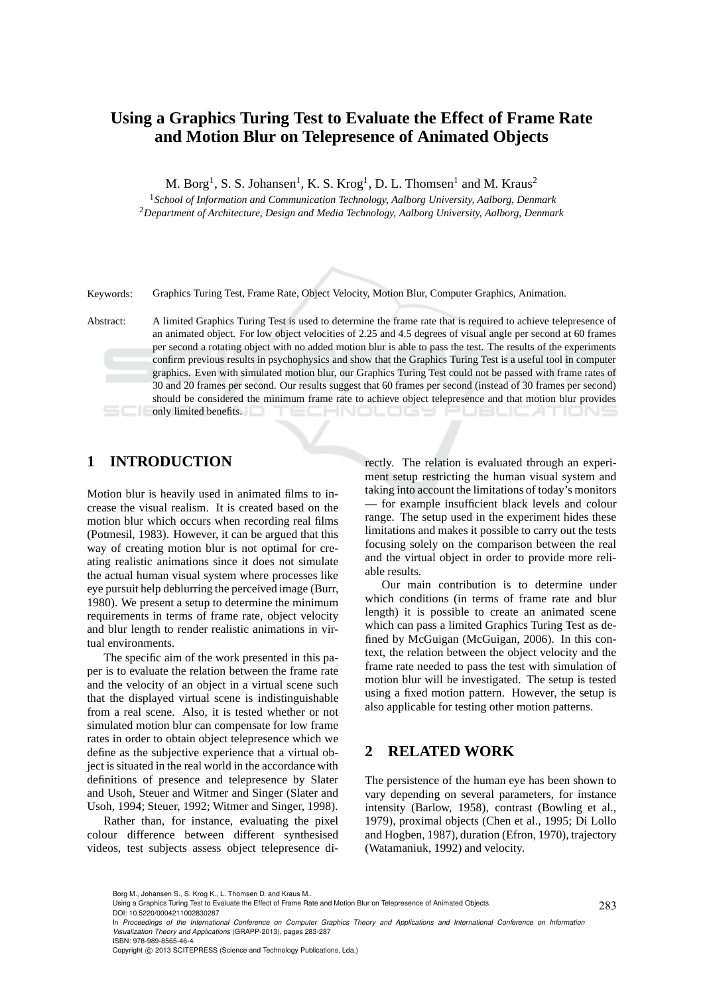# **Using a Graphics Turing Test to Evaluate the Effect of Frame Rate and Motion Blur on Telepresence of Animated Objects**

M. Borg<sup>1</sup>, S. S. Johansen<sup>1</sup>, K. S. Krog<sup>1</sup>, D. L. Thomsen<sup>1</sup> and M. Kraus<sup>2</sup>

<sup>1</sup>*School of Information and Communication Technology, Aalborg University, Aalborg, Denmark* <sup>2</sup>*Department of Architecture, Design and Media Technology, Aalborg University, Aalborg, Denmark*

Keywords: Graphics Turing Test, Frame Rate, Object Velocity, Motion Blur, Computer Graphics, Animation.

Abstract: A limited Graphics Turing Test is used to determine the frame rate that is required to achieve telepresence of an animated object. For low object velocities of 2.25 and 4.5 degrees of visual angle per second at 60 frames per second a rotating object with no added motion blur is able to pass the test. The results of the experiments confirm previous results in psychophysics and show that the Graphics Turing Test is a useful tool in computer graphics. Even with simulated motion blur, our Graphics Turing Test could not be passed with frame rates of 30 and 20 frames per second. Our results suggest that 60 frames per second (instead of 30 frames per second) should be considered the minimum frame rate to achieve object telepresence and that motion blur provides **Example 1** only limited benefits. enologia

## **1 INTRODUCTION**

Motion blur is heavily used in animated films to increase the visual realism. It is created based on the motion blur which occurs when recording real films (Potmesil, 1983). However, it can be argued that this way of creating motion blur is not optimal for creating realistic animations since it does not simulate the actual human visual system where processes like eye pursuit help deblurring the perceived image (Burr, 1980). We present a setup to determine the minimum requirements in terms of frame rate, object velocity and blur length to render realistic animations in virtual environments.

The specific aim of the work presented in this paper is to evaluate the relation between the frame rate and the velocity of an object in a virtual scene such that the displayed virtual scene is indistinguishable from a real scene. Also, it is tested whether or not simulated motion blur can compensate for low frame rates in order to obtain object telepresence which we define as the subjective experience that a virtual object is situated in the real world in the accordance with definitions of presence and telepresence by Slater and Usoh, Steuer and Witmer and Singer (Slater and Usoh, 1994; Steuer, 1992; Witmer and Singer, 1998).

Rather than, for instance, evaluating the pixel colour difference between different synthesised videos, test subjects assess object telepresence directly. The relation is evaluated through an experiment setup restricting the human visual system and taking into account the limitations of today's monitors — for example insufficient black levels and colour range. The setup used in the experiment hides these limitations and makes it possible to carry out the tests focusing solely on the comparison between the real and the virtual object in order to provide more reliable results.

Our main contribution is to determine under which conditions (in terms of frame rate and blur length) it is possible to create an animated scene which can pass a limited Graphics Turing Test as defined by McGuigan (McGuigan, 2006). In this context, the relation between the object velocity and the frame rate needed to pass the test with simulation of motion blur will be investigated. The setup is tested using a fixed motion pattern. However, the setup is also applicable for testing other motion patterns.

### **2 RELATED WORK**

The persistence of the human eye has been shown to vary depending on several parameters, for instance intensity (Barlow, 1958), contrast (Bowling et al., 1979), proximal objects (Chen et al., 1995; Di Lollo and Hogben, 1987), duration (Efron, 1970), trajectory (Watamaniuk, 1992) and velocity.

Copyright © 2013 SCITEPRESS (Science and Technology Publications, Lda.)

Borg M., Johansen S., S. Krog K., L. Thomsen D. and Kraus M..

Using a Graphics Turing Test to Evaluate the Effect of Frame Rate and Motion Blur on Telepresence of Animated Objects. DOI: 10.5220/0004211002830287

In *Proceedings of the International Conference on Computer Graphics Theory and Applications and International Conference on Information Visualization Theory and Applications* (GRAPP-2013), pages 283-287 ISBN: 978-989-8565-46-4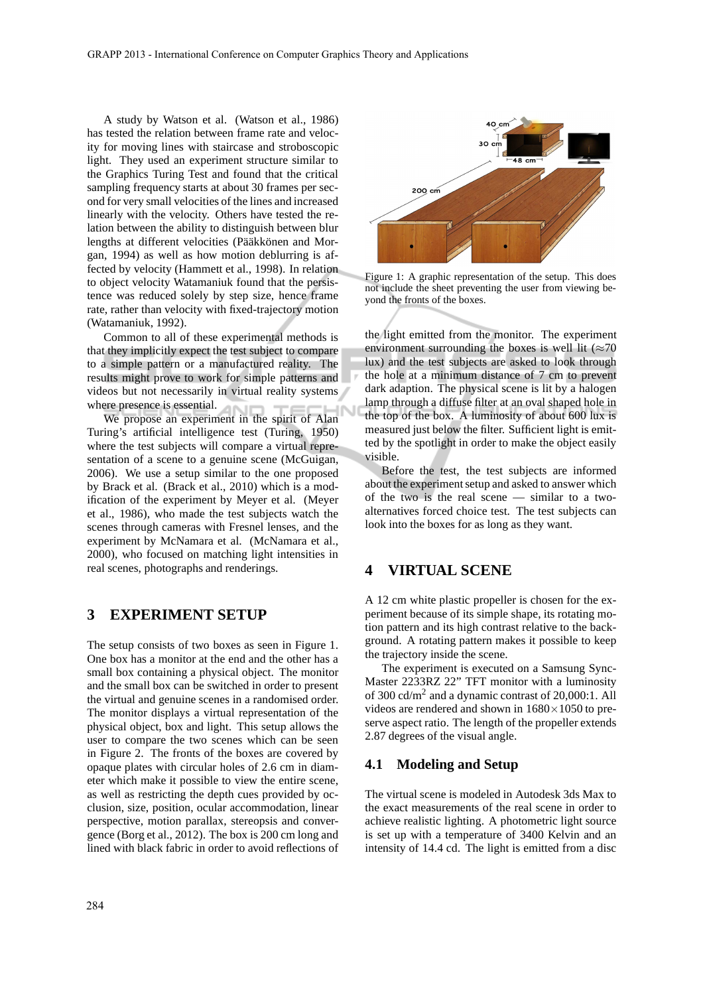A study by Watson et al. (Watson et al., 1986) has tested the relation between frame rate and velocity for moving lines with staircase and stroboscopic light. They used an experiment structure similar to the Graphics Turing Test and found that the critical sampling frequency starts at about 30 frames per second for very small velocities of the lines and increased linearly with the velocity. Others have tested the relation between the ability to distinguish between blur lengths at different velocities (Pääkkönen and Morgan, 1994) as well as how motion deblurring is affected by velocity (Hammett et al., 1998). In relation to object velocity Watamaniuk found that the persistence was reduced solely by step size, hence frame rate, rather than velocity with fixed-trajectory motion (Watamaniuk, 1992).

Common to all of these experimental methods is that they implicitly expect the test subject to compare to a simple pattern or a manufactured reality. The results might prove to work for simple patterns and videos but not necessarily in virtual reality systems where presence is essential. A1

We propose an experiment in the spirit of Alan Turing's artificial intelligence test (Turing, 1950) where the test subjects will compare a virtual representation of a scene to a genuine scene (McGuigan, 2006). We use a setup similar to the one proposed by Brack et al. (Brack et al., 2010) which is a modification of the experiment by Meyer et al. (Meyer et al., 1986), who made the test subjects watch the scenes through cameras with Fresnel lenses, and the experiment by McNamara et al. (McNamara et al., 2000), who focused on matching light intensities in real scenes, photographs and renderings.

## **3 EXPERIMENT SETUP**

The setup consists of two boxes as seen in Figure 1. One box has a monitor at the end and the other has a small box containing a physical object. The monitor and the small box can be switched in order to present the virtual and genuine scenes in a randomised order. The monitor displays a virtual representation of the physical object, box and light. This setup allows the user to compare the two scenes which can be seen in Figure 2. The fronts of the boxes are covered by opaque plates with circular holes of 2.6 cm in diameter which make it possible to view the entire scene, as well as restricting the depth cues provided by occlusion, size, position, ocular accommodation, linear perspective, motion parallax, stereopsis and convergence (Borg et al., 2012). The box is 200 cm long and lined with black fabric in order to avoid reflections of



Figure 1: A graphic representation of the setup. This does not include the sheet preventing the user from viewing beyond the fronts of the boxes.

the light emitted from the monitor. The experiment environment surrounding the boxes is well lit ( $\approx 70$ ) lux) and the test subjects are asked to look through the hole at a minimum distance of 7 cm to prevent dark adaption. The physical scene is lit by a halogen lamp through a diffuse filter at an oval shaped hole in the top of the box. A luminosity of about 600 lux is measured just below the filter. Sufficient light is emitted by the spotlight in order to make the object easily visible.

Before the test, the test subjects are informed about the experiment setup and asked to answer which of the two is the real scene — similar to a twoalternatives forced choice test. The test subjects can look into the boxes for as long as they want.

### **4 VIRTUAL SCENE**

A 12 cm white plastic propeller is chosen for the experiment because of its simple shape, its rotating motion pattern and its high contrast relative to the background. A rotating pattern makes it possible to keep the trajectory inside the scene.

The experiment is executed on a Samsung Sync-Master 2233RZ 22" TFT monitor with a luminosity of 300  $\text{cd/m}^2$  and a dynamic contrast of 20,000:1. All videos are rendered and shown in  $1680\times1050$  to preserve aspect ratio. The length of the propeller extends 2.87 degrees of the visual angle.

#### **4.1 Modeling and Setup**

The virtual scene is modeled in Autodesk 3ds Max to the exact measurements of the real scene in order to achieve realistic lighting. A photometric light source is set up with a temperature of 3400 Kelvin and an intensity of 14.4 cd. The light is emitted from a disc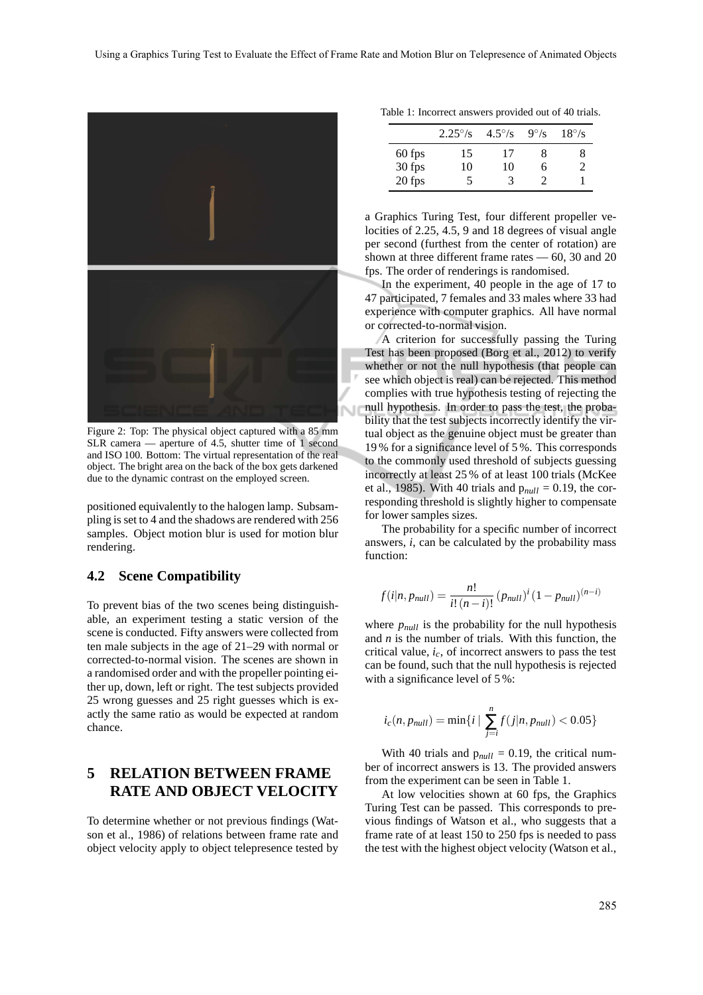

Figure 2: Top: The physical object captured with a 85 mm SLR camera — aperture of 4.5, shutter time of 1 second and ISO 100. Bottom: The virtual representation of the real object. The bright area on the back of the box gets darkened due to the dynamic contrast on the employed screen.

positioned equivalently to the halogen lamp. Subsampling is set to 4 and the shadows are rendered with 256 samples. Object motion blur is used for motion blur rendering.

#### **4.2 Scene Compatibility**

To prevent bias of the two scenes being distinguishable, an experiment testing a static version of the scene is conducted. Fifty answers were collected from ten male subjects in the age of 21–29 with normal or corrected-to-normal vision. The scenes are shown in a randomised order and with the propeller pointing either up, down, left or right. The test subjects provided 25 wrong guesses and 25 right guesses which is exactly the same ratio as would be expected at random chance.

## **5 RELATION BETWEEN FRAME RATE AND OBJECT VELOCITY**

To determine whether or not previous findings (Watson et al., 1986) of relations between frame rate and object velocity apply to object telepresence tested by

|        | $2.25^{\circ}/s$ | $4.5^{\circ}/s$ | $9^\circ$ /s | $18^{\circ}/s$ |
|--------|------------------|-----------------|--------------|----------------|
| 60 fps | 15               | 17              | x            |                |
| 30 fps | 10               | 10              | h            |                |
| 20 fps |                  | 3               |              |                |

a Graphics Turing Test, four different propeller velocities of 2.25, 4.5, 9 and 18 degrees of visual angle per second (furthest from the center of rotation) are shown at three different frame rates — 60, 30 and 20 fps. The order of renderings is randomised.

In the experiment, 40 people in the age of 17 to 47 participated, 7 females and 33 males where 33 had experience with computer graphics. All have normal or corrected-to-normal vision.

A criterion for successfully passing the Turing Test has been proposed (Borg et al., 2012) to verify whether or not the null hypothesis (that people can see which object is real) can be rejected. This method complies with true hypothesis testing of rejecting the null hypothesis. In order to pass the test, the probability that the test subjects incorrectly identify the virtual object as the genuine object must be greater than 19 % for a significance level of 5 %. This corresponds to the commonly used threshold of subjects guessing incorrectly at least 25 % of at least 100 trials (McKee et al., 1985). With 40 trials and  $p_{null} = 0.19$ , the corresponding threshold is slightly higher to compensate for lower samples sizes.

The probability for a specific number of incorrect answers, *i*, can be calculated by the probability mass function:

$$
f(i|n, p_{null}) = \frac{n!}{i! (n-i)!} (p_{null})^i (1 - p_{null})^{(n-i)}
$$

where  $p_{null}$  is the probability for the null hypothesis and *n* is the number of trials. With this function, the critical value, *ic*, of incorrect answers to pass the test can be found, such that the null hypothesis is rejected with a significance level of 5%:

$$
i_c(n, p_{null}) = \min\{i \mid \sum_{j=i}^{n} f(j|n, p_{null}) < 0.05\}
$$

With 40 trials and  $p_{null} = 0.19$ , the critical number of incorrect answers is 13. The provided answers from the experiment can be seen in Table 1.

At low velocities shown at 60 fps, the Graphics Turing Test can be passed. This corresponds to previous findings of Watson et al., who suggests that a frame rate of at least 150 to 250 fps is needed to pass the test with the highest object velocity (Watson et al.,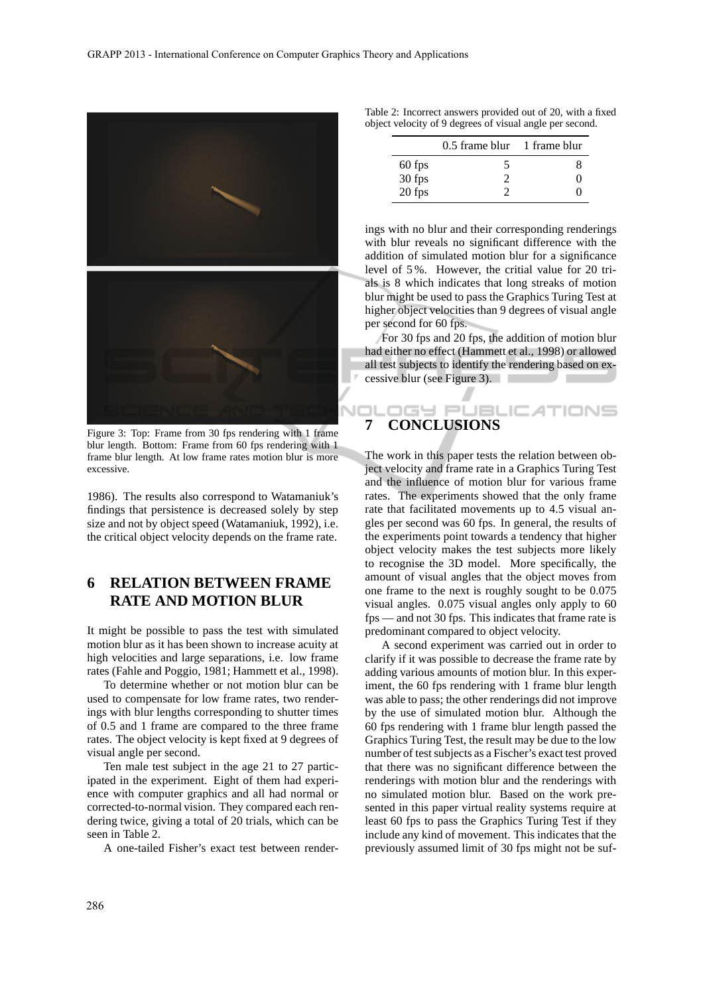

Figure 3: Top: Frame from 30 fps rendering with 1 frame blur length. Bottom: Frame from 60 fps rendering with 1 frame blur length. At low frame rates motion blur is more excessive.

1986). The results also correspond to Watamaniuk's findings that persistence is decreased solely by step size and not by object speed (Watamaniuk, 1992), i.e. the critical object velocity depends on the frame rate.

# **6 RELATION BETWEEN FRAME RATE AND MOTION BLUR**

It might be possible to pass the test with simulated motion blur as it has been shown to increase acuity at high velocities and large separations, i.e. low frame rates (Fahle and Poggio, 1981; Hammett et al., 1998).

To determine whether or not motion blur can be used to compensate for low frame rates, two renderings with blur lengths corresponding to shutter times of 0.5 and 1 frame are compared to the three frame rates. The object velocity is kept fixed at 9 degrees of visual angle per second.

Ten male test subject in the age 21 to 27 participated in the experiment. Eight of them had experience with computer graphics and all had normal or corrected-to-normal vision. They compared each rendering twice, giving a total of 20 trials, which can be seen in Table 2.

A one-tailed Fisher's exact test between render-

| Table 2: Incorrect answers provided out of 20, with a fixed |  |  |  |  |
|-------------------------------------------------------------|--|--|--|--|
| object velocity of 9 degrees of visual angle per second.    |  |  |  |  |

|          | $0.5$ frame blur $1$ frame blur |                   |
|----------|---------------------------------|-------------------|
| 60 fps   | ጎ                               | x                 |
| $30$ fps |                                 | $\mathbf{\Omega}$ |
| 20 fps   |                                 | C                 |

ings with no blur and their corresponding renderings with blur reveals no significant difference with the addition of simulated motion blur for a significance level of 5 %. However, the critial value for 20 trials is 8 which indicates that long streaks of motion blur might be used to pass the Graphics Turing Test at higher object velocities than 9 degrees of visual angle per second for 60 fps.

For 30 fps and 20 fps, the addition of motion blur had either no effect (Hammett et al., 1998) or allowed all test subjects to identify the rendering based on excessive blur (see Figure 3).

## l El **7 CONCLUSIONS**

The work in this paper tests the relation between object velocity and frame rate in a Graphics Turing Test and the influence of motion blur for various frame rates. The experiments showed that the only frame rate that facilitated movements up to 4.5 visual angles per second was 60 fps. In general, the results of the experiments point towards a tendency that higher object velocity makes the test subjects more likely to recognise the 3D model. More specifically, the amount of visual angles that the object moves from one frame to the next is roughly sought to be 0.075 visual angles. 0.075 visual angles only apply to 60 fps — and not 30 fps. This indicates that frame rate is predominant compared to object velocity.

A second experiment was carried out in order to clarify if it was possible to decrease the frame rate by adding various amounts of motion blur. In this experiment, the 60 fps rendering with 1 frame blur length was able to pass; the other renderings did not improve by the use of simulated motion blur. Although the 60 fps rendering with 1 frame blur length passed the Graphics Turing Test, the result may be due to the low number of test subjects as a Fischer's exact test proved that there was no significant difference between the renderings with motion blur and the renderings with no simulated motion blur. Based on the work presented in this paper virtual reality systems require at least 60 fps to pass the Graphics Turing Test if they include any kind of movement. This indicates that the previously assumed limit of 30 fps might not be suf-